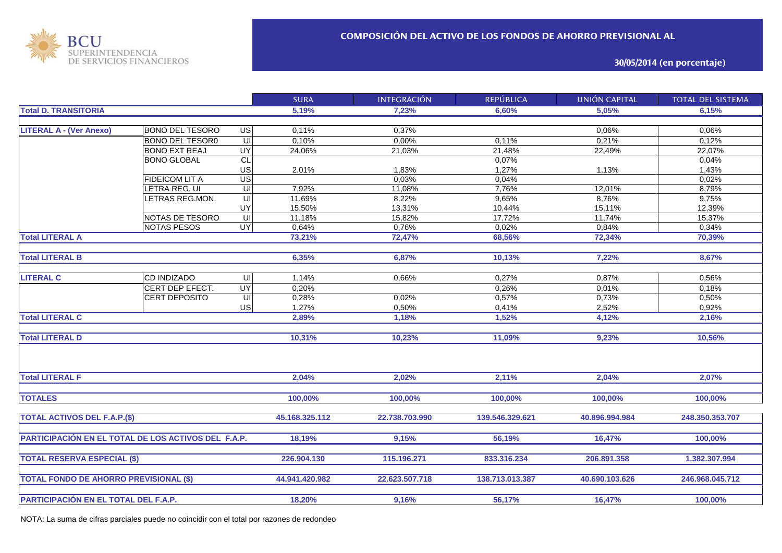

**30/05/2014 (en porcentaje)**

|                                                     |                        |                                    | <b>SURA</b>    | <b>INTEGRACIÓN</b> | <b>REPÚBLICA</b> | <b>UNIÓN CAPITAL</b> | <b>TOTAL DEL SISTEMA</b> |
|-----------------------------------------------------|------------------------|------------------------------------|----------------|--------------------|------------------|----------------------|--------------------------|
| <b>Total D. TRANSITORIA</b>                         |                        |                                    | 5,19%          | 7,23%              | 6,60%            | 5,05%                | 6,15%                    |
|                                                     |                        |                                    |                |                    |                  |                      |                          |
| <b>LITERAL A - (Ver Anexo)</b>                      | <b>BONO DEL TESORO</b> | US                                 | 0,11%          | 0,37%              |                  | 0,06%                | 0,06%                    |
|                                                     | <b>BONO DEL TESOR0</b> | $\overline{\mathsf{u}}$            | 0,10%          | 0,00%              | 0.11%            | 0,21%                | 0,12%                    |
|                                                     | <b>BONO EXT REAJ</b>   | <b>UY</b>                          | 24,06%         | 21,03%             | 21,48%           | 22,49%               | 22,07%                   |
|                                                     | <b>BONO GLOBAL</b>     | CL                                 |                |                    | 0,07%            |                      | 0,04%                    |
|                                                     |                        | US                                 | 2,01%          | 1,83%              | 1,27%            | 1,13%                | 1,43%                    |
|                                                     | <b>FIDEICOM LIT A</b>  | $\overline{US}$                    |                | 0,03%              | 0,04%            |                      | 0,02%                    |
|                                                     | LETRA REG. UI          | UI                                 | 7,92%          | 11,08%             | 7,76%            | 12,01%               | 8,79%                    |
|                                                     | LETRAS REG.MON.        | $\overline{\overline{\mathsf{u}}}$ | 11,69%         | 8,22%              | 9,65%            | 8,76%                | 9,75%                    |
|                                                     |                        | UY                                 | 15,50%         | 13,31%             | 10,44%           | 15,11%               | 12,39%                   |
|                                                     | NOTAS DE TESORO        | $\subseteq$                        | 11,18%         | 15,82%             | 17,72%           | 11,74%               | 15,37%                   |
|                                                     | <b>NOTAS PESOS</b>     | UY                                 | 0.64%          | 0,76%              | 0,02%            | 0,84%                | 0,34%                    |
| <b>Total LITERAL A</b>                              |                        |                                    | 73,21%         | 72,47%             | 68,56%           | 72,34%               | 70,39%                   |
|                                                     |                        |                                    |                |                    |                  |                      |                          |
| <b>Total LITERAL B</b>                              |                        |                                    | 6,35%          | 6,87%              | 10,13%           | 7,22%                | 8,67%                    |
|                                                     |                        |                                    |                |                    |                  |                      |                          |
| <b>LITERAL C</b>                                    | <b>CD INDIZADO</b>     | -UI                                | 1.14%          | 0.66%              | 0,27%            | 0,87%                | 0,56%                    |
|                                                     | CERT DEP EFECT.        | <b>UY</b>                          | 0.20%          |                    | 0.26%            | 0,01%                | 0,18%                    |
|                                                     | CERT DEPOSITO          | $\subseteq$                        | 0,28%          | 0,02%              | 0,57%            | 0,73%                | 0,50%                    |
|                                                     |                        | <b>US</b>                          | 1,27%          | 0,50%              | 0,41%            | 2,52%                | 0,92%                    |
| <b>Total LITERAL C</b>                              |                        |                                    | 2,89%          | 1,18%              | 1,52%            | 4,12%                | 2,16%                    |
|                                                     |                        |                                    |                |                    |                  |                      |                          |
| <b>Total LITERAL D</b>                              |                        |                                    | 10,31%         | 10,23%             | 11,09%           | 9,23%                | 10,56%                   |
|                                                     |                        |                                    |                |                    |                  |                      |                          |
| <b>Total LITERAL F</b>                              |                        |                                    | 2,04%          | 2,02%              | 2,11%            | 2,04%                | 2,07%                    |
|                                                     |                        |                                    |                |                    |                  |                      |                          |
| <b>TOTALES</b>                                      |                        |                                    | 100,00%        | 100,00%            | 100,00%          | 100,00%              | 100,00%                  |
| <b>TOTAL ACTIVOS DEL F.A.P.(\$)</b>                 |                        |                                    | 45.168.325.112 | 22.738.703.990     | 139.546.329.621  | 40.896.994.984       | 248.350.353.707          |
|                                                     |                        |                                    |                |                    |                  |                      |                          |
| PARTICIPACIÓN EN EL TOTAL DE LOS ACTIVOS DEL F.A.P. |                        |                                    | 18.19%         | 9,15%              | 56,19%           | 16,47%               | 100.00%                  |
|                                                     |                        |                                    |                |                    |                  |                      |                          |
| <b>TOTAL RESERVA ESPECIAL (\$)</b>                  |                        |                                    | 226.904.130    | 115.196.271        | 833.316.234      | 206.891.358          | 1.382.307.994            |
|                                                     |                        |                                    |                |                    |                  |                      |                          |
| <b>TOTAL FONDO DE AHORRO PREVISIONAL (\$)</b>       |                        |                                    | 44.941.420.982 | 22.623.507.718     | 138.713.013.387  | 40.690.103.626       | 246.968.045.712          |
|                                                     |                        |                                    |                |                    |                  |                      |                          |
| PARTICIPACIÓN EN EL TOTAL DEL F.A.P.                |                        |                                    | 18,20%         | 9,16%              | 56,17%           | 16,47%               | 100,00%                  |

NOTA: La suma de cifras parciales puede no coincidir con el total por razones de redondeo